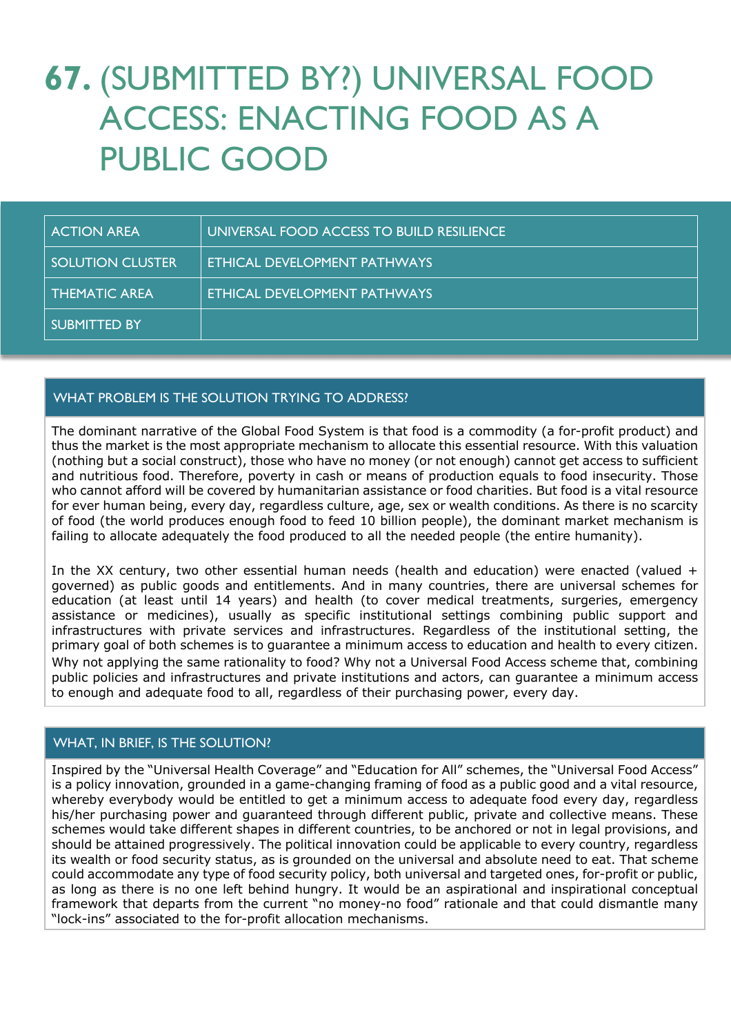# **67.** (SUBMITTED BY?) UNIVERSAL FOOD ACCESS: ENACTING FOOD AS A PUBLIC GOOD

| <b>ACTION AREA</b>      | UNIVERSAL FOOD ACCESS TO BUILD RESILIENCE |
|-------------------------|-------------------------------------------|
| <b>SOLUTION CLUSTER</b> | ETHICAL DEVELOPMENT PATHWAYS              |
| <b>THEMATIC AREA</b>    | ETHICAL DEVELOPMENT PATHWAYS              |
| <b>SUBMITTED BY</b>     |                                           |

# WHAT PROBLEM IS THE SOLUTION TRYING TO ADDRESS?

The dominant narrative of the Global Food System is that food is a commodity (a for-profit product) and thus the market is the most appropriate mechanism to allocate this essential resource. With this valuation (nothing but a social construct), those who have no money (or not enough) cannot get access to sufficient and nutritious food. Therefore, poverty in cash or means of production equals to food insecurity. Those who cannot afford will be covered by humanitarian assistance or food charities. But food is a vital resource for ever human being, every day, regardless culture, age, sex or wealth conditions. As there is no scarcity of food (the world produces enough food to feed 10 billion people), the dominant market mechanism is failing to allocate adequately the food produced to all the needed people (the entire humanity).

In the XX century, two other essential human needs (health and education) were enacted (valued + governed) as public goods and entitlements. And in many countries, there are universal schemes for education (at least until 14 years) and health (to cover medical treatments, surgeries, emergency assistance or medicines), usually as specific institutional settings combining public support and infrastructures with private services and infrastructures. Regardless of the institutional setting, the primary goal of both schemes is to guarantee a minimum access to education and health to every citizen. Why not applying the same rationality to food? Why not a Universal Food Access scheme that, combining public policies and infrastructures and private institutions and actors, can guarantee a minimum access to enough and adequate food to all, regardless of their purchasing power, every day.

## WHAT, IN BRIEF, IS THE SOLUTION?

Inspired by the "Universal Health Coverage" and "Education for All" schemes, the "Universal Food Access" is a policy innovation, grounded in a game-changing framing of food as a public good and a vital resource, whereby everybody would be entitled to get a minimum access to adequate food every day, regardless his/her purchasing power and guaranteed through different public, private and collective means. These schemes would take different shapes in different countries, to be anchored or not in legal provisions, and should be attained progressively. The political innovation could be applicable to every country, regardless its wealth or food security status, as is grounded on the universal and absolute need to eat. That scheme could accommodate any type of food security policy, both universal and targeted ones, for-profit or public, as long as there is no one left behind hungry. It would be an aspirational and inspirational conceptual framework that departs from the current "no money-no food" rationale and that could dismantle many "lock-ins" associated to the for-profit allocation mechanisms.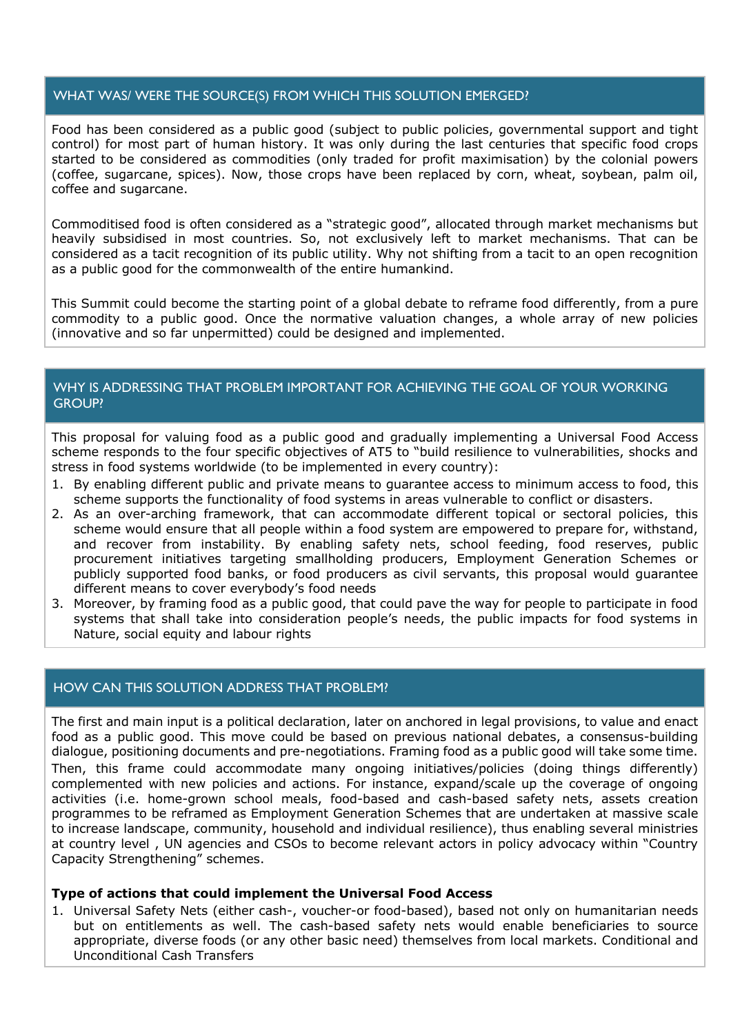# WHAT WAS/ WERE THE SOURCE(S) FROM WHICH THIS SOLUTION EMERGED?

Food has been considered as a public good (subject to public policies, governmental support and tight control) for most part of human history. It was only during the last centuries that specific food crops started to be considered as commodities (only traded for profit maximisation) by the colonial powers (coffee, sugarcane, spices). Now, those crops have been replaced by corn, wheat, soybean, palm oil, coffee and sugarcane.

Commoditised food is often considered as a "strategic good", allocated through market mechanisms but heavily subsidised in most countries. So, not exclusively left to market mechanisms. That can be considered as a tacit recognition of its public utility. Why not shifting from a tacit to an open recognition as a public good for the commonwealth of the entire humankind.

This Summit could become the starting point of a global debate to reframe food differently, from a pure commodity to a public good. Once the normative valuation changes, a whole array of new policies (innovative and so far unpermitted) could be designed and implemented.

# WHY IS ADDRESSING THAT PROBLEM IMPORTANT FOR ACHIEVING THE GOAL OF YOUR WORKING GROUP?

This proposal for valuing food as a public good and gradually implementing a Universal Food Access scheme responds to the four specific objectives of AT5 to "build resilience to vulnerabilities, shocks and stress in food systems worldwide (to be implemented in every country):

- 1. By enabling different public and private means to guarantee access to minimum access to food, this scheme supports the functionality of food systems in areas vulnerable to conflict or disasters.
- 2. As an over-arching framework, that can accommodate different topical or sectoral policies, this scheme would ensure that all people within a food system are empowered to prepare for, withstand, and recover from instability. By enabling safety nets, school feeding, food reserves, public procurement initiatives targeting smallholding producers, Employment Generation Schemes or publicly supported food banks, or food producers as civil servants, this proposal would guarantee different means to cover everybody's food needs
- 3. Moreover, by framing food as a public good, that could pave the way for people to participate in food systems that shall take into consideration people's needs, the public impacts for food systems in Nature, social equity and labour rights

## HOW CAN THIS SOLUTION ADDRESS THAT PROBLEM?

The first and main input is a political declaration, later on anchored in legal provisions, to value and enact food as a public good. This move could be based on previous national debates, a consensus-building dialogue, positioning documents and pre-negotiations. Framing food as a public good will take some time. Then, this frame could accommodate many ongoing initiatives/policies (doing things differently) complemented with new policies and actions. For instance, expand/scale up the coverage of ongoing activities (i.e. home-grown school meals, food-based and cash-based safety nets, assets creation programmes to be reframed as Employment Generation Schemes that are undertaken at massive scale to increase landscape, community, household and individual resilience), thus enabling several ministries at country level , UN agencies and CSOs to become relevant actors in policy advocacy within "Country Capacity Strengthening" schemes.

#### **Type of actions that could implement the Universal Food Access**

1. Universal Safety Nets (either cash-, voucher-or food-based), based not only on humanitarian needs but on entitlements as well. The cash-based safety nets would enable beneficiaries to source appropriate, diverse foods (or any other basic need) themselves from local markets. Conditional and Unconditional Cash Transfers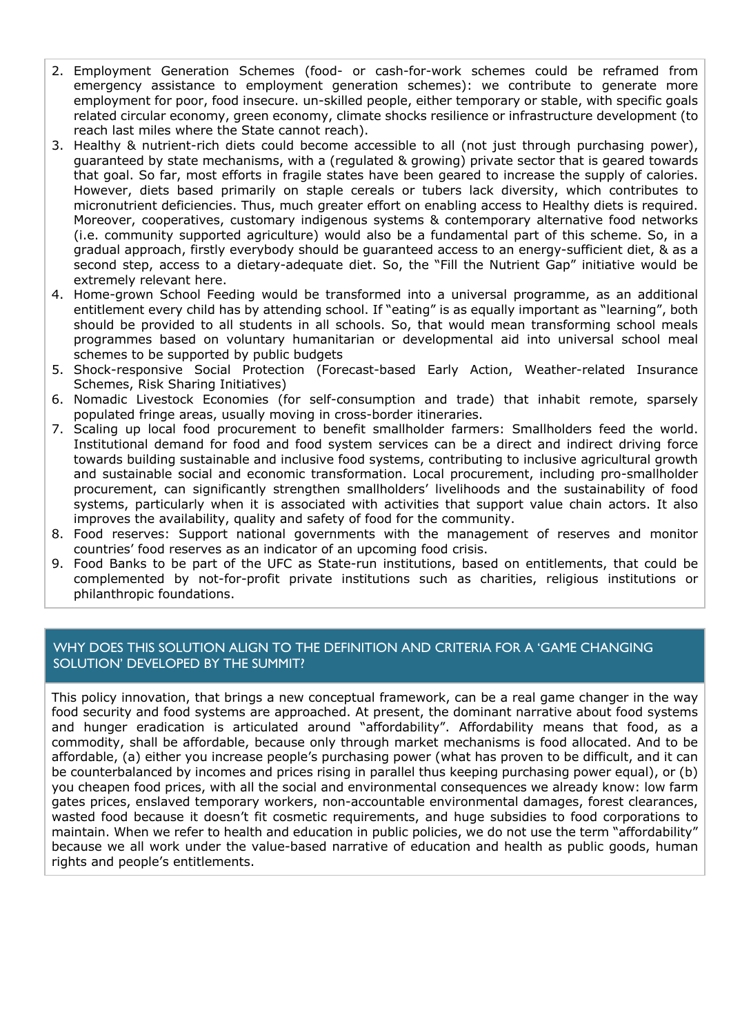- 2. Employment Generation Schemes (food- or cash-for-work schemes could be reframed from emergency assistance to employment generation schemes): we contribute to generate more employment for poor, food insecure. un-skilled people, either temporary or stable, with specific goals related circular economy, green economy, climate shocks resilience or infrastructure development (to reach last miles where the State cannot reach).
- 3. Healthy & nutrient-rich diets could become accessible to all (not just through purchasing power), guaranteed by state mechanisms, with a (regulated & growing) private sector that is geared towards that goal. So far, most efforts in fragile states have been geared to increase the supply of calories. However, diets based primarily on staple cereals or tubers lack diversity, which contributes to micronutrient deficiencies. Thus, much greater effort on enabling access to Healthy diets is required. Moreover, cooperatives, customary indigenous systems & contemporary alternative food networks (i.e. community supported agriculture) would also be a fundamental part of this scheme. So, in a gradual approach, firstly everybody should be guaranteed access to an energy-sufficient diet, & as a second step, access to a dietary-adequate diet. So, the "Fill the Nutrient Gap" initiative would be extremely relevant here.
- 4. Home-grown School Feeding would be transformed into a universal programme, as an additional entitlement every child has by attending school. If "eating" is as equally important as "learning", both should be provided to all students in all schools. So, that would mean transforming school meals programmes based on voluntary humanitarian or developmental aid into universal school meal schemes to be supported by public budgets
- 5. Shock-responsive Social Protection (Forecast-based Early Action, Weather-related Insurance Schemes, Risk Sharing Initiatives)
- 6. Nomadic Livestock Economies (for self-consumption and trade) that inhabit remote, sparsely populated fringe areas, usually moving in cross-border itineraries.
- 7. Scaling up local food procurement to benefit smallholder farmers: Smallholders feed the world. Institutional demand for food and food system services can be a direct and indirect driving force towards building sustainable and inclusive food systems, contributing to inclusive agricultural growth and sustainable social and economic transformation. Local procurement, including pro-smallholder procurement, can significantly strengthen smallholders' livelihoods and the sustainability of food systems, particularly when it is associated with activities that support value chain actors. It also improves the availability, quality and safety of food for the community.
- 8. Food reserves: Support national governments with the management of reserves and monitor countries' food reserves as an indicator of an upcoming food crisis.
- 9. Food Banks to be part of the UFC as State-run institutions, based on entitlements, that could be complemented by not-for-profit private institutions such as charities, religious institutions or philanthropic foundations.

# WHY DOES THIS SOLUTION ALIGN TO THE DEFINITION AND CRITERIA FOR A 'GAME CHANGING SOLUTION' DEVELOPED BY THE SUMMIT?

This policy innovation, that brings a new conceptual framework, can be a real game changer in the way food security and food systems are approached. At present, the dominant narrative about food systems and hunger eradication is articulated around "affordability". Affordability means that food, as a commodity, shall be affordable, because only through market mechanisms is food allocated. And to be affordable, (a) either you increase people's purchasing power (what has proven to be difficult, and it can be counterbalanced by incomes and prices rising in parallel thus keeping purchasing power equal), or (b) you cheapen food prices, with all the social and environmental consequences we already know: low farm gates prices, enslaved temporary workers, non-accountable environmental damages, forest clearances, wasted food because it doesn't fit cosmetic requirements, and huge subsidies to food corporations to maintain. When we refer to health and education in public policies, we do not use the term "affordability" because we all work under the value-based narrative of education and health as public goods, human rights and people's entitlements.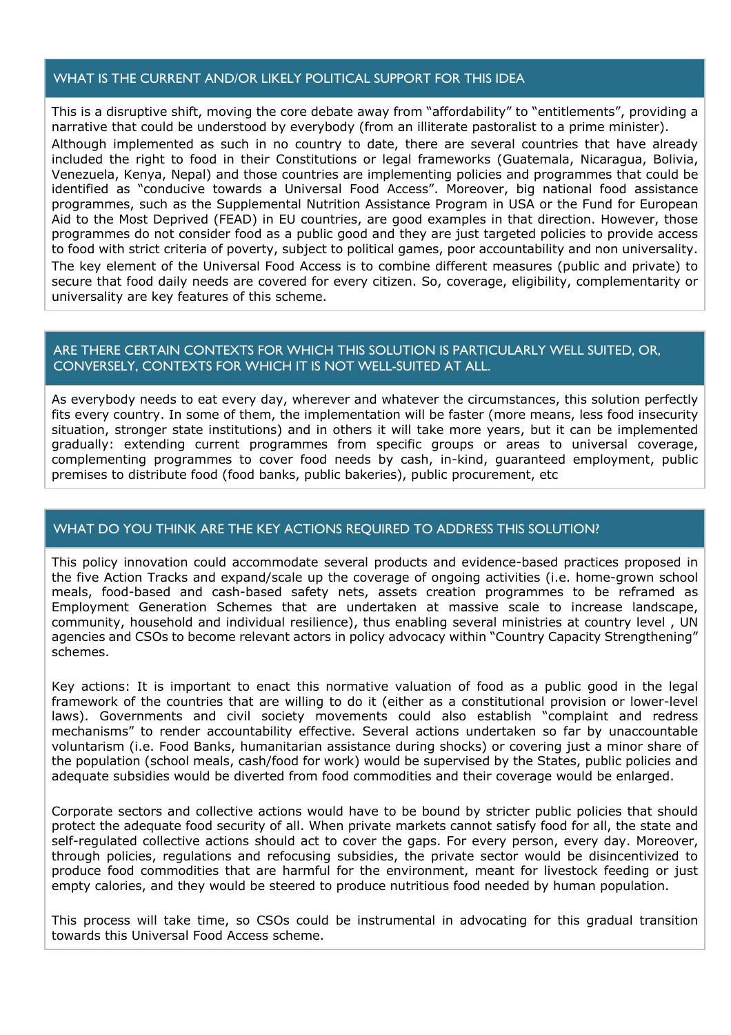## WHAT IS THE CURRENT AND/OR LIKELY POLITICAL SUPPORT FOR THIS IDEA

This is a disruptive shift, moving the core debate away from "affordability" to "entitlements", providing a narrative that could be understood by everybody (from an illiterate pastoralist to a prime minister). Although implemented as such in no country to date, there are several countries that have already included the right to food in their Constitutions or legal frameworks (Guatemala, Nicaragua, Bolivia, Venezuela, Kenya, Nepal) and those countries are implementing policies and programmes that could be identified as "conducive towards a Universal Food Access". Moreover, big national food assistance programmes, such as the Supplemental Nutrition Assistance Program in USA or the Fund for European Aid to the Most Deprived (FEAD) in EU countries, are good examples in that direction. However, those programmes do not consider food as a public good and they are just targeted policies to provide access to food with strict criteria of poverty, subject to political games, poor accountability and non universality. The key element of the Universal Food Access is to combine different measures (public and private) to secure that food daily needs are covered for every citizen. So, coverage, eligibility, complementarity or universality are key features of this scheme.

## ARE THERE CERTAIN CONTEXTS FOR WHICH THIS SOLUTION IS PARTICULARLY WELL SUITED, OR, CONVERSELY, CONTEXTS FOR WHICH IT IS NOT WELL-SUITED AT ALL.

As everybody needs to eat every day, wherever and whatever the circumstances, this solution perfectly fits every country. In some of them, the implementation will be faster (more means, less food insecurity situation, stronger state institutions) and in others it will take more years, but it can be implemented gradually: extending current programmes from specific groups or areas to universal coverage, complementing programmes to cover food needs by cash, in-kind, guaranteed employment, public premises to distribute food (food banks, public bakeries), public procurement, etc

## WHAT DO YOU THINK ARE THE KEY ACTIONS REQUIRED TO ADDRESS THIS SOLUTION?

This policy innovation could accommodate several products and evidence-based practices proposed in the five Action Tracks and expand/scale up the coverage of ongoing activities (i.e. home-grown school meals, food-based and cash-based safety nets, assets creation programmes to be reframed as Employment Generation Schemes that are undertaken at massive scale to increase landscape, community, household and individual resilience), thus enabling several ministries at country level , UN agencies and CSOs to become relevant actors in policy advocacy within "Country Capacity Strengthening" schemes.

Key actions: It is important to enact this normative valuation of food as a public good in the legal framework of the countries that are willing to do it (either as a constitutional provision or lower-level laws). Governments and civil society movements could also establish "complaint and redress mechanisms" to render accountability effective. Several actions undertaken so far by unaccountable voluntarism (i.e. Food Banks, humanitarian assistance during shocks) or covering just a minor share of the population (school meals, cash/food for work) would be supervised by the States, public policies and adequate subsidies would be diverted from food commodities and their coverage would be enlarged.

Corporate sectors and collective actions would have to be bound by stricter public policies that should protect the adequate food security of all. When private markets cannot satisfy food for all, the state and self-regulated collective actions should act to cover the gaps. For every person, every day. Moreover, through policies, regulations and refocusing subsidies, the private sector would be disincentivized to produce food commodities that are harmful for the environment, meant for livestock feeding or just empty calories, and they would be steered to produce nutritious food needed by human population.

This process will take time, so CSOs could be instrumental in advocating for this gradual transition towards this Universal Food Access scheme.